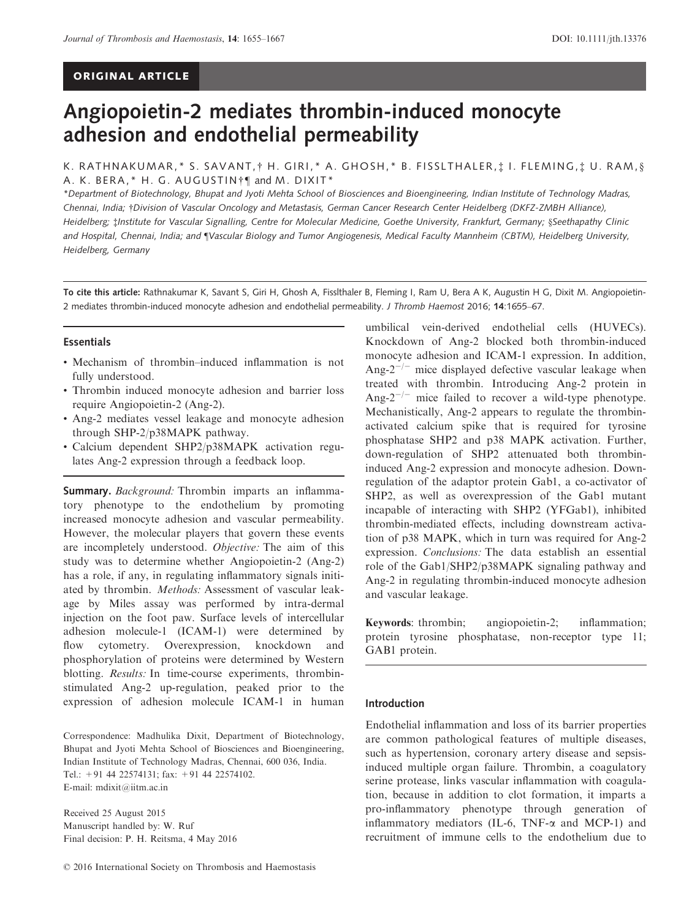## ORIGINAL ARTICLE

# Angiopoietin-2 mediates thrombin-induced monocyte adhesion and endothelial permeability

K. RATHNAKUMAR,\* S. SAVANT, † H. GIRI,\* A. GHOSH,\* B. FISSLTHALER, ‡ I. FLEMING, ‡ U. RAM, § A. K. BERA, \* H. G. AUGUSTIN<sup>†</sup> and M. DIXIT<sup>\*</sup>

\*Department of Biotechnology, Bhupat and Jyoti Mehta School of Biosciences and Bioengineering, Indian Institute of Technology Madras, Chennai, India; †Division of Vascular Oncology and Metastasis, German Cancer Research Center Heidelberg (DKFZ-ZMBH Alliance), Heidelberg; ‡Institute for Vascular Signalling, Centre for Molecular Medicine, Goethe University, Frankfurt, Germany; §Seethapathy Clinic and Hospital, Chennai, India; and [Vascular Biology and Tumor Angiogenesis, Medical Faculty Mannheim (CBTM), Heidelberg University, Heidelberg, Germany

To cite this article: Rathnakumar K, Savant S, Giri H, Ghosh A, Fisslthaler B, Fleming I, Ram U, Bera A K, Augustin H G, Dixit M. Angiopoietin-2 mediates thrombin-induced monocyte adhesion and endothelial permeability. J Thromb Haemost 2016; 14[:1655](info:doi/10.1111/jth.13376)–67.

## Essentials

- Mechanism of thrombin–induced inflammation is not fully understood.
- Thrombin induced monocyte adhesion and barrier loss require Angiopoietin-2 (Ang-2).
- Ang-2 mediates vessel leakage and monocyte adhesion through SHP-2/p38MAPK pathway.
- Calcium dependent SHP2/p38MAPK activation regulates Ang-2 expression through a feedback loop.

Summary. Background: Thrombin imparts an inflammatory phenotype to the endothelium by promoting increased monocyte adhesion and vascular permeability. However, the molecular players that govern these events are incompletely understood. Objective: The aim of this study was to determine whether Angiopoietin-2 (Ang-2) has a role, if any, in regulating inflammatory signals initiated by thrombin. Methods: Assessment of vascular leakage by Miles assay was performed by intra-dermal injection on the foot paw. Surface levels of intercellular adhesion molecule-1 (ICAM-1) were determined by flow cytometry. Overexpression, knockdown and phosphorylation of proteins were determined by Western blotting. Results: In time-course experiments, thrombinstimulated Ang-2 up-regulation, peaked prior to the expression of adhesion molecule ICAM-1 in human

Correspondence: Madhulika Dixit, Department of Biotechnology, Bhupat and Jyoti Mehta School of Biosciences and Bioengineering, Indian Institute of Technology Madras, Chennai, 600 036, India. Tel.: +91 44 22574131; fax: +91 44 22574102. E-mail: mdixit@iitm.ac.in

Received 25 August 2015 Manuscript handled by: W. Ruf Final decision: P. H. Reitsma, 4 May 2016 umbilical vein-derived endothelial cells (HUVECs). Knockdown of Ang-2 blocked both thrombin-induced monocyte adhesion and ICAM-1 expression. In addition, Ang- $2^{-/-}$  mice displayed defective vascular leakage when treated with thrombin. Introducing Ang-2 protein in Ang- $2^{-/-}$  mice failed to recover a wild-type phenotype. Mechanistically, Ang-2 appears to regulate the thrombinactivated calcium spike that is required for tyrosine phosphatase SHP2 and p38 MAPK activation. Further, down-regulation of SHP2 attenuated both thrombininduced Ang-2 expression and monocyte adhesion. Downregulation of the adaptor protein Gab1, a co-activator of SHP2, as well as overexpression of the Gab1 mutant incapable of interacting with SHP2 (YFGab1), inhibited thrombin-mediated effects, including downstream activation of p38 MAPK, which in turn was required for Ang-2 expression. Conclusions: The data establish an essential role of the Gab1/SHP2/p38MAPK signaling pathway and Ang-2 in regulating thrombin-induced monocyte adhesion and vascular leakage.

Keywords: thrombin; angiopoietin-2; inflammation; protein tyrosine phosphatase, non-receptor type 11; GAB1 protein.

#### Introduction

Endothelial inflammation and loss of its barrier properties are common pathological features of multiple diseases, such as hypertension, coronary artery disease and sepsisinduced multiple organ failure. Thrombin, a coagulatory serine protease, links vascular inflammation with coagulation, because in addition to clot formation, it imparts a pro-inflammatory phenotype through generation of inflammatory mediators (IL-6, TNF- $\alpha$  and MCP-1) and recruitment of immune cells to the endothelium due to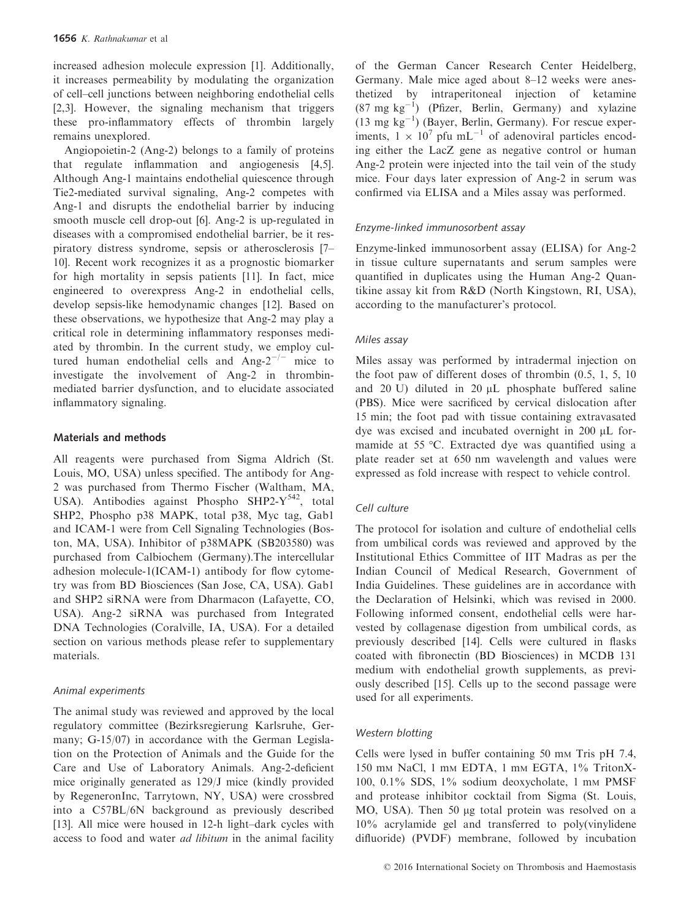increased adhesion molecule expression [1]. Additionally, it increases permeability by modulating the organization of cell–cell junctions between neighboring endothelial cells [2,3]. However, the signaling mechanism that triggers these pro-inflammatory effects of thrombin largely remains unexplored.

Angiopoietin-2 (Ang-2) belongs to a family of proteins that regulate inflammation and angiogenesis [4,5]. Although Ang-1 maintains endothelial quiescence through Tie2-mediated survival signaling, Ang-2 competes with Ang-1 and disrupts the endothelial barrier by inducing smooth muscle cell drop-out [6]. Ang-2 is up-regulated in diseases with a compromised endothelial barrier, be it respiratory distress syndrome, sepsis or atherosclerosis [7– 10]. Recent work recognizes it as a prognostic biomarker for high mortality in sepsis patients [11]. In fact, mice engineered to overexpress Ang-2 in endothelial cells, develop sepsis-like hemodynamic changes [12]. Based on these observations, we hypothesize that Ang-2 may play a critical role in determining inflammatory responses mediated by thrombin. In the current study, we employ cultured human endothelial cells and  $\text{Ang-}2^{-/-}$  mice to investigate the involvement of Ang-2 in thrombinmediated barrier dysfunction, and to elucidate associated inflammatory signaling.

## Materials and methods

All reagents were purchased from Sigma Aldrich (St. Louis, MO, USA) unless specified. The antibody for Ang-2 was purchased from Thermo Fischer (Waltham, MA, USA). Antibodies against Phospho SHP2-Y<sup>542</sup>, total SHP2, Phospho p38 MAPK, total p38, Myc tag, Gab1 and ICAM-1 were from Cell Signaling Technologies (Boston, MA, USA). Inhibitor of p38MAPK (SB203580) was purchased from Calbiochem (Germany).The intercellular adhesion molecule-1(ICAM-1) antibody for flow cytometry was from BD Biosciences (San Jose, CA, USA). Gab1 and SHP2 siRNA were from Dharmacon (Lafayette, CO, USA). Ang-2 siRNA was purchased from Integrated DNA Technologies (Coralville, IA, USA). For a detailed section on various methods please refer to supplementary materials.

## Animal experiments

The animal study was reviewed and approved by the local regulatory committee (Bezirksregierung Karlsruhe, Germany; G-15/07) in accordance with the German Legislation on the Protection of Animals and the Guide for the Care and Use of Laboratory Animals. Ang-2-deficient mice originally generated as 129/J mice (kindly provided by RegeneronInc, Tarrytown, NY, USA) were crossbred into a C57BL/6N background as previously described [13]. All mice were housed in 12-h light–dark cycles with access to food and water *ad libitum* in the animal facility of the German Cancer Research Center Heidelberg, Germany. Male mice aged about 8–12 weeks were anesthetized by intraperitoneal injection of ketamine  $(87 \text{ mg kg}^{-1})$  (Pfizer, Berlin, Germany) and xylazine  $(13 \text{ mg kg}^{-1})$  (Bayer, Berlin, Germany). For rescue experiments,  $1 \times 10^7$  pfu mL<sup>-1</sup> of adenoviral particles encoding either the LacZ gene as negative control or human Ang-2 protein were injected into the tail vein of the study mice. Four days later expression of Ang-2 in serum was confirmed via ELISA and a Miles assay was performed.

# Enzyme-linked immunosorbent assay

Enzyme-linked immunosorbent assay (ELISA) for Ang-2 in tissue culture supernatants and serum samples were quantified in duplicates using the Human Ang-2 Quantikine assay kit from R&D (North Kingstown, RI, USA), according to the manufacturer's protocol.

## Miles assay

Miles assay was performed by intradermal injection on the foot paw of different doses of thrombin (0.5, 1, 5, 10 and 20 U) diluted in 20  $\mu$ L phosphate buffered saline (PBS). Mice were sacrificed by cervical dislocation after 15 min; the foot pad with tissue containing extravasated dye was excised and incubated overnight in  $200 \mu L$  formamide at 55 °C. Extracted dye was quantified using a plate reader set at 650 nm wavelength and values were expressed as fold increase with respect to vehicle control.

## Cell culture

The protocol for isolation and culture of endothelial cells from umbilical cords was reviewed and approved by the Institutional Ethics Committee of IIT Madras as per the Indian Council of Medical Research, Government of India Guidelines. These guidelines are in accordance with the Declaration of Helsinki, which was revised in 2000. Following informed consent, endothelial cells were harvested by collagenase digestion from umbilical cords, as previously described [14]. Cells were cultured in flasks coated with fibronectin (BD Biosciences) in MCDB 131 medium with endothelial growth supplements, as previously described [15]. Cells up to the second passage were used for all experiments.

## Western blotting

Cells were lysed in buffer containing 50 mm Tris pH 7.4, 150 mm NaCl, 1 mm EDTA, 1 mm EGTA, 1% TritonX-100, 0.1% SDS, 1% sodium deoxycholate, 1 mm PMSF and protease inhibitor cocktail from Sigma (St. Louis, MO, USA). Then 50 µg total protein was resolved on a 10% acrylamide gel and transferred to poly(vinylidene difluoride) (PVDF) membrane, followed by incubation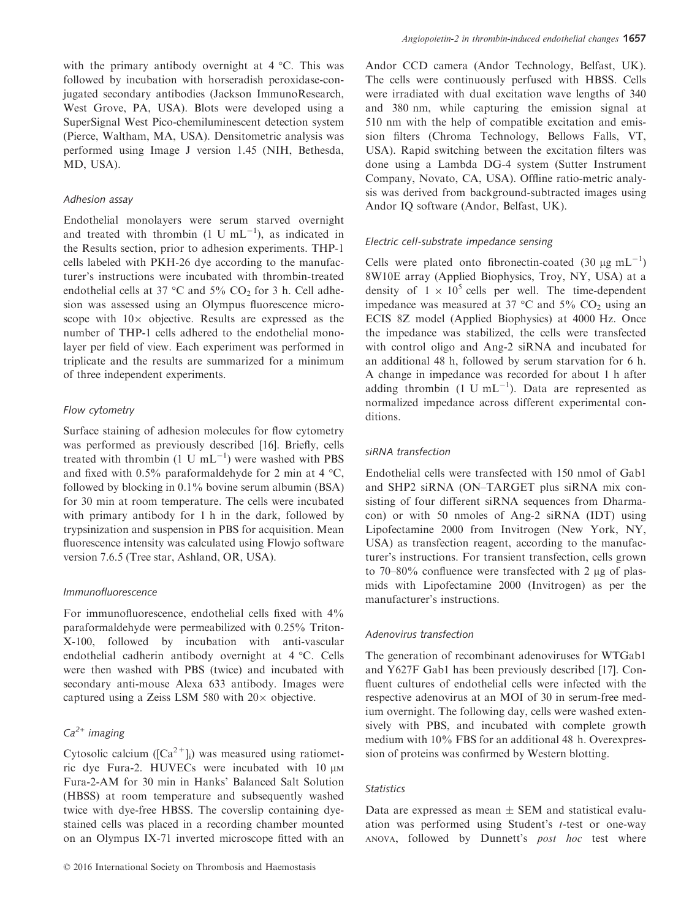with the primary antibody overnight at 4 °C. This was followed by incubation with horseradish peroxidase-conjugated secondary antibodies (Jackson ImmunoResearch, West Grove, PA, USA). Blots were developed using a SuperSignal West Pico-chemiluminescent detection system (Pierce, Waltham, MA, USA). Densitometric analysis was performed using Image J version 1.45 (NIH, Bethesda, MD, USA).

## Adhesion assay

Endothelial monolayers were serum starved overnight and treated with thrombin  $(1 U mL^{-1})$ , as indicated in the Results section, prior to adhesion experiments. THP-1 cells labeled with PKH-26 dye according to the manufacturer's instructions were incubated with thrombin-treated endothelial cells at 37  $\degree$ C and 5% CO<sub>2</sub> for 3 h. Cell adhesion was assessed using an Olympus fluorescence microscope with  $10\times$  objective. Results are expressed as the number of THP-1 cells adhered to the endothelial monolayer per field of view. Each experiment was performed in triplicate and the results are summarized for a minimum of three independent experiments.

#### Flow cytometry

Surface staining of adhesion molecules for flow cytometry was performed as previously described [16]. Briefly, cells treated with thrombin  $(1 \text{ U } mL^{-1})$  were washed with PBS and fixed with 0.5% paraformaldehyde for 2 min at 4  $°C$ , followed by blocking in 0.1% bovine serum albumin (BSA) for 30 min at room temperature. The cells were incubated with primary antibody for 1 h in the dark, followed by trypsinization and suspension in PBS for acquisition. Mean fluorescence intensity was calculated using Flowjo software version 7.6.5 (Tree star, Ashland, OR, USA).

#### Immunofluorescence

For immunofluorescence, endothelial cells fixed with  $4\%$ paraformaldehyde were permeabilized with 0.25% Triton-X-100, followed by incubation with anti-vascular endothelial cadherin antibody overnight at 4 °C. Cells were then washed with PBS (twice) and incubated with secondary anti-mouse Alexa 633 antibody. Images were captured using a Zeiss LSM 580 with  $20 \times$  objective.

# $Ca<sup>2+</sup>$  imaging

Cytosolic calcium ( $[Ca^{2+}]_i$ ) was measured using ratiometric dye Fura-2. HUVECs were incubated with  $10 \mu$ M Fura-2-AM for 30 min in Hanks' Balanced Salt Solution (HBSS) at room temperature and subsequently washed twice with dye-free HBSS. The coverslip containing dyestained cells was placed in a recording chamber mounted on an Olympus IX-71 inverted microscope fitted with an Andor CCD camera (Andor Technology, Belfast, UK). The cells were continuously perfused with HBSS. Cells were irradiated with dual excitation wave lengths of 340 and 380 nm, while capturing the emission signal at 510 nm with the help of compatible excitation and emission filters (Chroma Technology, Bellows Falls, VT, USA). Rapid switching between the excitation filters was done using a Lambda DG-4 system (Sutter Instrument Company, Novato, CA, USA). Offline ratio-metric analysis was derived from background-subtracted images using Andor IQ software (Andor, Belfast, UK).

# Electric cell-substrate impedance sensing

Cells were plated onto fibronectin-coated (30  $\mu$ g mL<sup>-1</sup>) 8W10E array (Applied Biophysics, Troy, NY, USA) at a density of  $1 \times 10^5$  cells per well. The time-dependent impedance was measured at 37  $\degree$ C and 5% CO<sub>2</sub> using an ECIS 8Z model (Applied Biophysics) at 4000 Hz. Once the impedance was stabilized, the cells were transfected with control oligo and Ang-2 siRNA and incubated for an additional 48 h, followed by serum starvation for 6 h. A change in impedance was recorded for about 1 h after adding thrombin  $(1 \text{ U } mL^{-1})$ . Data are represented as normalized impedance across different experimental conditions.

#### siRNA transfection

Endothelial cells were transfected with 150 nmol of Gab1 and SHP2 siRNA (ON–TARGET plus siRNA mix consisting of four different siRNA sequences from Dharmacon) or with 50 nmoles of Ang-2 siRNA (IDT) using Lipofectamine 2000 from Invitrogen (New York, NY, USA) as transfection reagent, according to the manufacturer's instructions. For transient transfection, cells grown to  $70-80\%$  confluence were transfected with 2 µg of plasmids with Lipofectamine 2000 (Invitrogen) as per the manufacturer's instructions.

#### Adenovirus transfection

The generation of recombinant adenoviruses for WTGab1 and Y627F Gab1 has been previously described [17]. Confluent cultures of endothelial cells were infected with the respective adenovirus at an MOI of 30 in serum-free medium overnight. The following day, cells were washed extensively with PBS, and incubated with complete growth medium with 10% FBS for an additional 48 h. Overexpression of proteins was confirmed by Western blotting.

#### Statistics

Data are expressed as mean  $\pm$  SEM and statistical evaluation was performed using Student's t-test or one-way ANOVA, followed by Dunnett's post hoc test where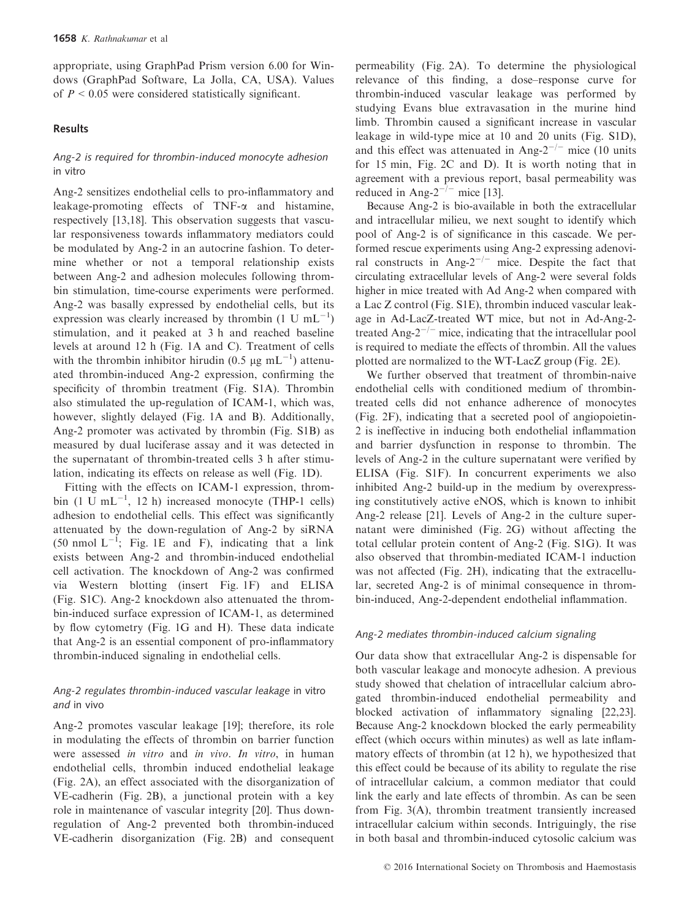appropriate, using GraphPad Prism version 6.00 for Windows (GraphPad Software, La Jolla, CA, USA). Values of  $P < 0.05$  were considered statistically significant.

## Results

# Ang-2 is required for thrombin-induced monocyte adhesion in vitro

Ang-2 sensitizes endothelial cells to pro-inflammatory and leakage-promoting effects of  $TNF-\alpha$  and histamine, respectively [13,18]. This observation suggests that vascular responsiveness towards inflammatory mediators could be modulated by Ang-2 in an autocrine fashion. To determine whether or not a temporal relationship exists between Ang-2 and adhesion molecules following thrombin stimulation, time-course experiments were performed. Ang-2 was basally expressed by endothelial cells, but its expression was clearly increased by thrombin  $(1 \text{ U } mL^{-1})$ stimulation, and it peaked at 3 h and reached baseline levels at around 12 h (Fig. 1A and C). Treatment of cells with the thrombin inhibitor hirudin (0.5  $\mu$ g mL<sup>-1</sup>) attenuated thrombin-induced Ang-2 expression, confirming the specificity of thrombin treatment (Fig. S1A). Thrombin also stimulated the up-regulation of ICAM-1, which was, however, slightly delayed (Fig. 1A and B). Additionally, Ang-2 promoter was activated by thrombin (Fig. S1B) as measured by dual luciferase assay and it was detected in the supernatant of thrombin-treated cells 3 h after stimulation, indicating its effects on release as well (Fig. 1D).

Fitting with the effects on ICAM-1 expression, thrombin  $(1 \text{ U } mL^{-1}$ , 12 h) increased monocyte (THP-1 cells) adhesion to endothelial cells. This effect was significantly attenuated by the down-regulation of Ang-2 by siRNA (50 nmol  $L^{-1}$ ; Fig. 1E and F), indicating that a link exists between Ang-2 and thrombin-induced endothelial cell activation. The knockdown of Ang-2 was confirmed via Western blotting (insert Fig. 1F) and ELISA (Fig. S1C). Ang-2 knockdown also attenuated the thrombin-induced surface expression of ICAM-1, as determined by flow cytometry (Fig. 1G and H). These data indicate that Ang-2 is an essential component of pro-inflammatory thrombin-induced signaling in endothelial cells.

## Ang-2 regulates thrombin-induced vascular leakage in vitro and in vivo

Ang-2 promotes vascular leakage [19]; therefore, its role in modulating the effects of thrombin on barrier function were assessed in vitro and in vivo. In vitro, in human endothelial cells, thrombin induced endothelial leakage (Fig. 2A), an effect associated with the disorganization of VE-cadherin (Fig. 2B), a junctional protein with a key role in maintenance of vascular integrity [20]. Thus downregulation of Ang-2 prevented both thrombin-induced VE-cadherin disorganization (Fig. 2B) and consequent permeability (Fig. 2A). To determine the physiological relevance of this finding, a dose–response curve for thrombin-induced vascular leakage was performed by studying Evans blue extravasation in the murine hind limb. Thrombin caused a significant increase in vascular leakage in wild-type mice at 10 and 20 units (Fig. S1D), and this effect was attenuated in Ang- $2^{-/-}$  mice (10 units for 15 min, Fig. 2C and D). It is worth noting that in agreement with a previous report, basal permeability was reduced in Ang- $2^{-/-}$  mice [13].

Because Ang-2 is bio-available in both the extracellular and intracellular milieu, we next sought to identify which pool of Ang-2 is of significance in this cascade. We performed rescue experiments using Ang-2 expressing adenoviral constructs in Ang- $2^{-/-}$  mice. Despite the fact that circulating extracellular levels of Ang-2 were several folds higher in mice treated with Ad Ang-2 when compared with a Lac Z control (Fig. S1E), thrombin induced vascular leakage in Ad-LacZ-treated WT mice, but not in Ad-Ang-2 treated Ang- $2^{-/-}$  mice, indicating that the intracellular pool is required to mediate the effects of thrombin. All the values plotted are normalized to the WT-LacZ group (Fig. 2E).

We further observed that treatment of thrombin-naive endothelial cells with conditioned medium of thrombintreated cells did not enhance adherence of monocytes (Fig. 2F), indicating that a secreted pool of angiopoietin-2 is ineffective in inducing both endothelial inflammation and barrier dysfunction in response to thrombin. The levels of Ang-2 in the culture supernatant were verified by ELISA (Fig. S1F). In concurrent experiments we also inhibited Ang-2 build-up in the medium by overexpressing constitutively active eNOS, which is known to inhibit Ang-2 release [21]. Levels of Ang-2 in the culture supernatant were diminished (Fig. 2G) without affecting the total cellular protein content of Ang-2 (Fig. S1G). It was also observed that thrombin-mediated ICAM-1 induction was not affected (Fig. 2H), indicating that the extracellular, secreted Ang-2 is of minimal consequence in thrombin-induced, Ang-2-dependent endothelial inflammation.

## Ang-2 mediates thrombin-induced calcium signaling

Our data show that extracellular Ang-2 is dispensable for both vascular leakage and monocyte adhesion. A previous study showed that chelation of intracellular calcium abrogated thrombin-induced endothelial permeability and blocked activation of inflammatory signaling [22,23]. Because Ang-2 knockdown blocked the early permeability effect (which occurs within minutes) as well as late inflammatory effects of thrombin (at 12 h), we hypothesized that this effect could be because of its ability to regulate the rise of intracellular calcium, a common mediator that could link the early and late effects of thrombin. As can be seen from Fig. 3(A), thrombin treatment transiently increased intracellular calcium within seconds. Intriguingly, the rise in both basal and thrombin-induced cytosolic calcium was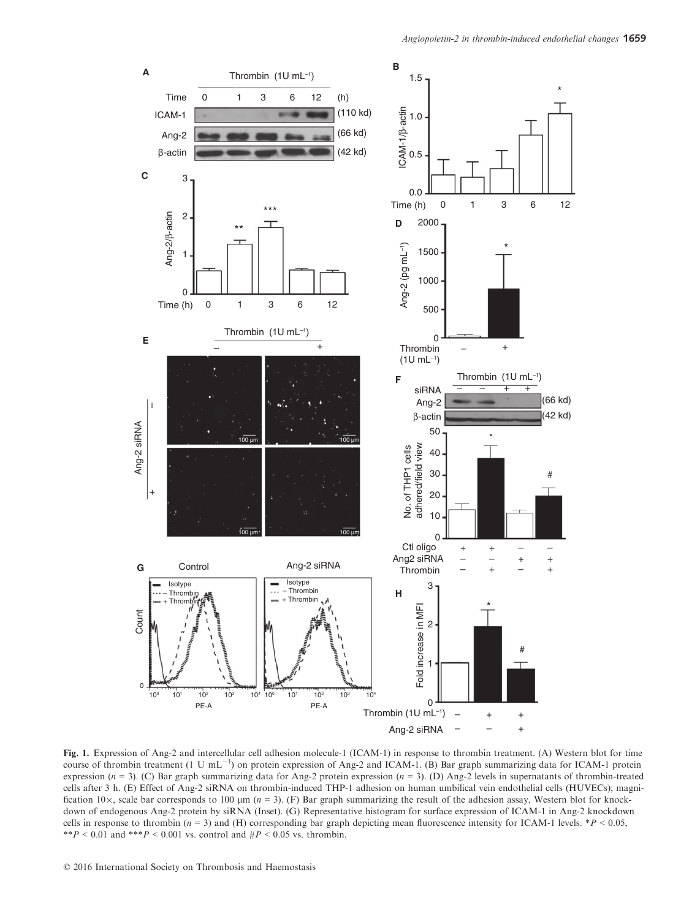

Fig. 1. Expression of Ang-2 and intercellular cell adhesion molecule-1 (ICAM-1) in response to thrombin treatment. (A) Western blot for time course of thrombin treatment (1 U mL<sup>-1</sup>) on protein expression of Ang-2 and ICAM-1. (B) Bar graph summarizing data for ICAM-1 protein expression ( $n = 3$ ). (C) Bar graph summarizing data for Ang-2 protein expression ( $n = 3$ ). (D) Ang-2 levels in supernatants of thrombin-treated cells after 3 h. (E) Effect of Ang-2 siRNA on thrombin-induced THP-1 adhesion on human umbilical vein endothelial cells (HUVECs); magnification 10 $\times$ , scale bar corresponds to 100  $\mu$ m (n = 3). (F) Bar graph summarizing the result of the adhesion assay, Western blot for knockdown of endogenous Ang-2 protein by siRNA (Inset). (G) Representative histogram for surface expression of ICAM-1 in Ang-2 knockdown cells in response to thrombin ( $n = 3$ ) and (H) corresponding bar graph depicting mean fluorescence intensity for ICAM-1 levels. \*P < 0.05, \*\*P < 0.01 and \*\*\*P < 0.001 vs. control and  $\#P$  < 0.05 vs. thrombin.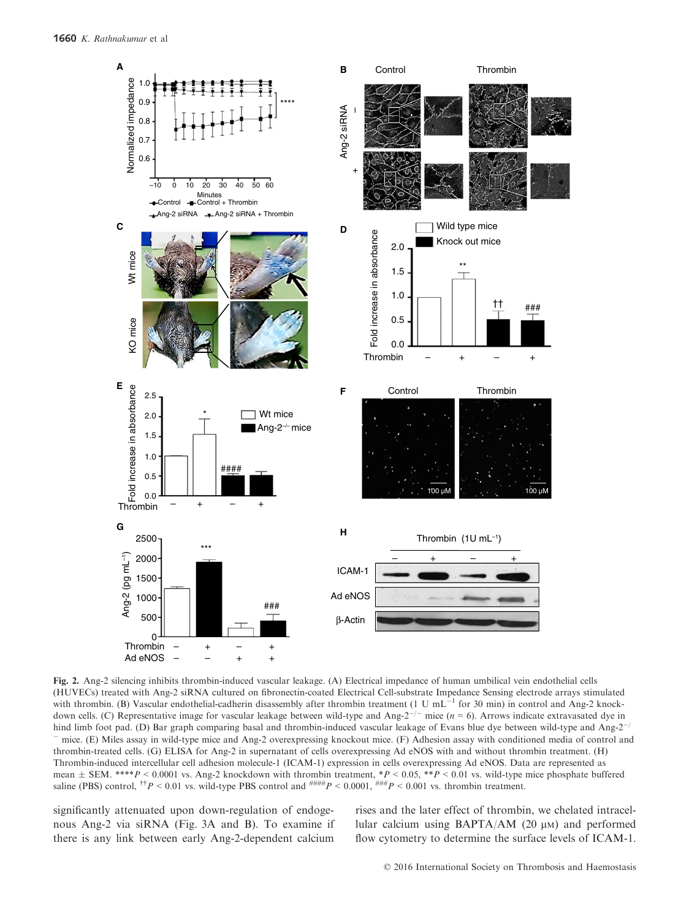

Fig. 2. Ang-2 silencing inhibits thrombin-induced vascular leakage. (A) Electrical impedance of human umbilical vein endothelial cells (HUVECs) treated with Ang-2 siRNA cultured on fibronectin-coated Electrical Cell-substrate Impedance Sensing electrode arrays stimulated with thrombin. (B) Vascular endothelial-cadherin disassembly after thrombin treatment (1 U mL<sup>-1</sup> for 30 min) in control and Ang-2 knockdown cells. (C) Representative image for vascular leakage between wild-type and Ang-2<sup>-/-</sup> mice ( $n = 6$ ). Arrows indicate extravasated dye in hind limb foot pad. (D) Bar graph comparing basal and thrombin-induced vascular leakage of Evans blue dye between wild-type and Ang-2<sup>-/</sup> mice. (E) Miles assay in wild-type mice and Ang-2 overexpressing knockout mice. (F) Adhesion assay with conditioned media of control and thrombin-treated cells. (G) ELISA for Ang-2 in supernatant of cells overexpressing Ad eNOS with and without thrombin treatment. (H) Thrombin-induced intercellular cell adhesion molecule-1 (ICAM-1) expression in cells overexpressing Ad eNOS. Data are represented as mean  $\pm$  SEM. \*\*\*P < 0.0001 vs. Ang-2 knockdown with thrombin treatment, \*P < 0.05, \*\*P < 0.01 vs. wild-type mice phosphate buffered saline (PBS) control,  $^{†}P < 0.01$  vs. wild-type PBS control and  $^{^{\#}\# \#}P < 0.0001$ ,  $^{^{\#}\# \#}P < 0.001$  vs. thrombin treatment.

significantly attenuated upon down-regulation of endogenous Ang-2 via siRNA (Fig. 3A and B). To examine if there is any link between early Ang-2-dependent calcium rises and the later effect of thrombin, we chelated intracellular calcium using BAPTA/AM  $(20 \mu)$  and performed flow cytometry to determine the surface levels of ICAM-1.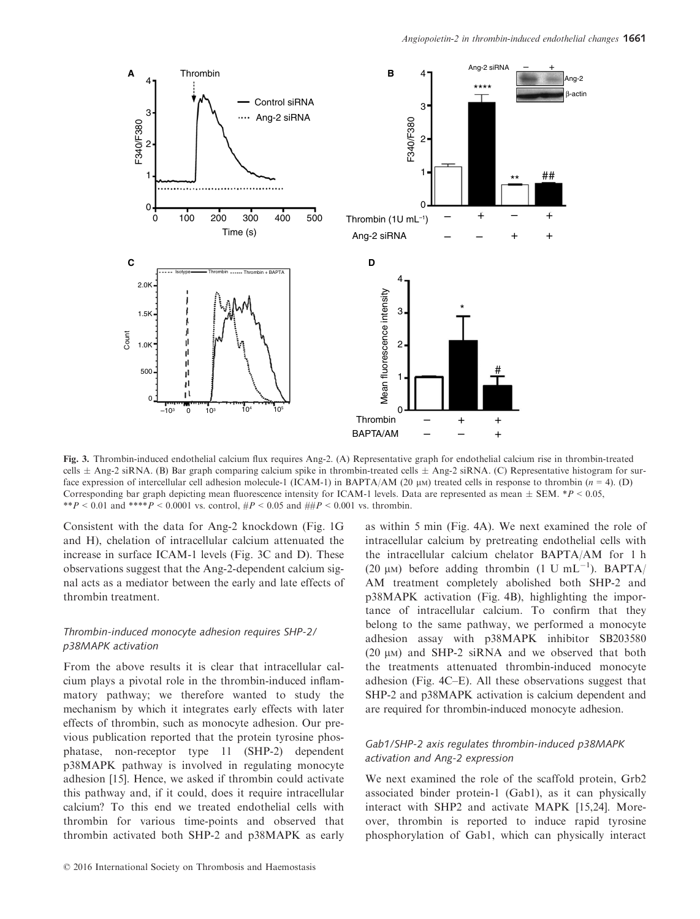

Fig. 3. Thrombin-induced endothelial calcium flux requires Ang-2. (A) Representative graph for endothelial calcium rise in thrombin-treated cells  $\pm$  Ang-2 siRNA. (B) Bar graph comparing calcium spike in thrombin-treated cells  $\pm$  Ang-2 siRNA. (C) Representative histogram for surface expression of intercellular cell adhesion molecule-1 (ICAM-1) in BAPTA/AM (20  $\mu$ M) treated cells in response to thrombin (n = 4). (D) Corresponding bar graph depicting mean fluorescence intensity for ICAM-1 levels. Data are represented as mean  $\pm$  SEM. \*P < 0.05, \*\*P < 0.01 and \*\*\*\*P < 0.0001 vs. control,  $\#P$  < 0.05 and  $\#HP$  < 0.001 vs. thrombin.

Consistent with the data for Ang-2 knockdown (Fig. 1G and H), chelation of intracellular calcium attenuated the increase in surface ICAM-1 levels (Fig. 3C and D). These observations suggest that the Ang-2-dependent calcium signal acts as a mediator between the early and late effects of thrombin treatment.

## Thrombin-induced monocyte adhesion requires SHP-2/ p38MAPK activation

From the above results it is clear that intracellular calcium plays a pivotal role in the thrombin-induced inflammatory pathway; we therefore wanted to study the mechanism by which it integrates early effects with later effects of thrombin, such as monocyte adhesion. Our previous publication reported that the protein tyrosine phosphatase, non-receptor type 11 (SHP-2) dependent p38MAPK pathway is involved in regulating monocyte adhesion [15]. Hence, we asked if thrombin could activate this pathway and, if it could, does it require intracellular calcium? To this end we treated endothelial cells with thrombin for various time-points and observed that thrombin activated both SHP-2 and p38MAPK as early

as within 5 min (Fig. 4A). We next examined the role of intracellular calcium by pretreating endothelial cells with the intracellular calcium chelator BAPTA/AM for 1 h (20  $\mu$ M) before adding thrombin (1 U mL<sup>-1</sup>). BAPTA/ AM treatment completely abolished both SHP-2 and p38MAPK activation (Fig. 4B), highlighting the importance of intracellular calcium. To confirm that they belong to the same pathway, we performed a monocyte adhesion assay with p38MAPK inhibitor SB203580 (20  $\mu$ M) and SHP-2 siRNA and we observed that both the treatments attenuated thrombin-induced monocyte adhesion (Fig. 4C–E). All these observations suggest that SHP-2 and p38MAPK activation is calcium dependent and are required for thrombin-induced monocyte adhesion.

## Gab1/SHP-2 axis regulates thrombin-induced p38MAPK activation and Ang-2 expression

We next examined the role of the scaffold protein, Grb2 associated binder protein-1 (Gab1), as it can physically interact with SHP2 and activate MAPK [15,24]. Moreover, thrombin is reported to induce rapid tyrosine phosphorylation of Gab1, which can physically interact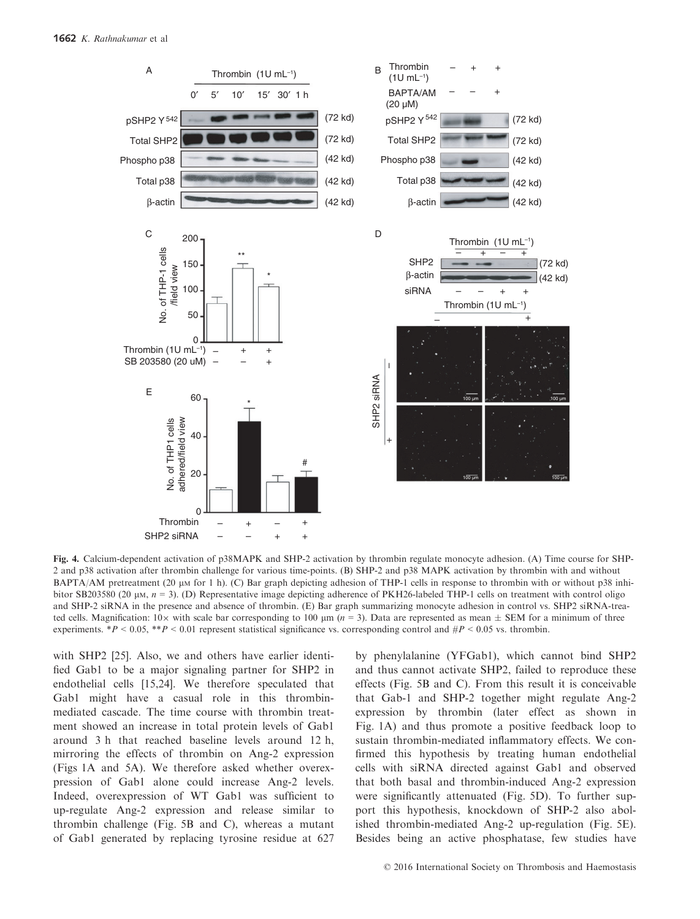

Fig. 4. Calcium-dependent activation of p38MAPK and SHP-2 activation by thrombin regulate monocyte adhesion. (A) Time course for SHP-2 and p38 activation after thrombin challenge for various time-points. (B) SHP-2 and p38 MAPK activation by thrombin with and without BAPTA/AM pretreatment (20 µm for 1 h). (C) Bar graph depicting adhesion of THP-1 cells in response to thrombin with or without p38 inhibitor SB203580 (20  $\mu$ m,  $n = 3$ ). (D) Representative image depicting adherence of PKH26-labeled THP-1 cells on treatment with control oligo and SHP-2 siRNA in the presence and absence of thrombin. (E) Bar graph summarizing monocyte adhesion in control vs. SHP2 siRNA-treated cells. Magnification:  $10\times$  with scale bar corresponding to  $100 \mu m$  ( $n = 3$ ). Data are represented as mean  $\pm$  SEM for a minimum of three experiments. \*P < 0.05, \*\*P < 0.01 represent statistical significance vs. corresponding control and  $\#P$  < 0.05 vs. thrombin.

with SHP2 [25]. Also, we and others have earlier identified Gab1 to be a major signaling partner for SHP2 in endothelial cells [15,24]. We therefore speculated that Gab1 might have a casual role in this thrombinmediated cascade. The time course with thrombin treatment showed an increase in total protein levels of Gab1 around 3 h that reached baseline levels around 12 h, mirroring the effects of thrombin on Ang-2 expression (Figs 1A and 5A). We therefore asked whether overexpression of Gab1 alone could increase Ang-2 levels. Indeed, overexpression of WT Gab1 was sufficient to up-regulate Ang-2 expression and release similar to thrombin challenge (Fig. 5B and C), whereas a mutant of Gab1 generated by replacing tyrosine residue at 627 by phenylalanine (YFGab1), which cannot bind SHP2 and thus cannot activate SHP2, failed to reproduce these effects (Fig. 5B and C). From this result it is conceivable that Gab-1 and SHP-2 together might regulate Ang-2 expression by thrombin (later effect as shown in Fig. 1A) and thus promote a positive feedback loop to sustain thrombin-mediated inflammatory effects. We confirmed this hypothesis by treating human endothelial cells with siRNA directed against Gab1 and observed that both basal and thrombin-induced Ang-2 expression were significantly attenuated (Fig. 5D). To further support this hypothesis, knockdown of SHP-2 also abolished thrombin-mediated Ang-2 up-regulation (Fig. 5E). Besides being an active phosphatase, few studies have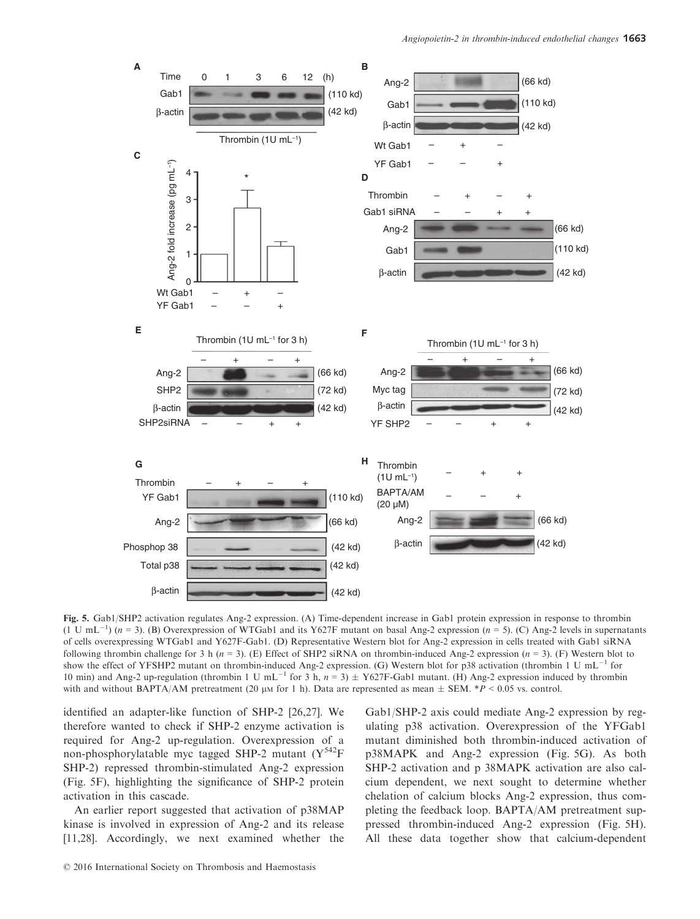

Fig. 5. Gab1/SHP2 activation regulates Ang-2 expression. (A) Time-dependent increase in Gab1 protein expression in response to thrombin  $(1 \text{ U } mL^{-1})$  (n = 3). (B) Overexpression of WTGab1 and its Y627F mutant on basal Ang-2 expression (n = 5). (C) Ang-2 levels in supernatants of cells overexpressing WTGab1 and Y627F-Gab1. (D) Representative Western blot for Ang-2 expression in cells treated with Gab1 siRNA following thrombin challenge for 3 h  $(n = 3)$ . (E) Effect of SHP2 siRNA on thrombin-induced Ang-2 expression  $(n = 3)$ . (F) Western blot to show the effect of YFSHP2 mutant on thrombin-induced Ang-2 expression. (G) Western blot for p38 activation (thrombin 1 U mL<sup>-1</sup> for 10 min) and Ang-2 up-regulation (thrombin 1 U mL<sup>-1</sup> for 3 h,  $n = 3$ )  $\pm$  Y627F-Gab1 mutant. (H) Ang-2 expression induced by thrombin with and without BAPTA/AM pretreatment (20  $\mu$ m for 1 h). Data are represented as mean  $\pm$  SEM. \*P < 0.05 vs. control.

identified an adapter-like function of SHP-2 [26,27]. We therefore wanted to check if SHP-2 enzyme activation is required for Ang-2 up-regulation. Overexpression of a non-phosphorylatable myc tagged SHP-2 mutant  $(Y^{542}F)$ SHP-2) repressed thrombin-stimulated Ang-2 expression (Fig. 5F), highlighting the significance of SHP-2 protein activation in this cascade.

An earlier report suggested that activation of p38MAP kinase is involved in expression of Ang-2 and its release [11,28]. Accordingly, we next examined whether the

Gab1/SHP-2 axis could mediate Ang-2 expression by regulating p38 activation. Overexpression of the YFGab1 mutant diminished both thrombin-induced activation of p38MAPK and Ang-2 expression (Fig. 5G). As both SHP-2 activation and p 38MAPK activation are also calcium dependent, we next sought to determine whether chelation of calcium blocks Ang-2 expression, thus completing the feedback loop. BAPTA/AM pretreatment suppressed thrombin-induced Ang-2 expression (Fig. 5H). All these data together show that calcium-dependent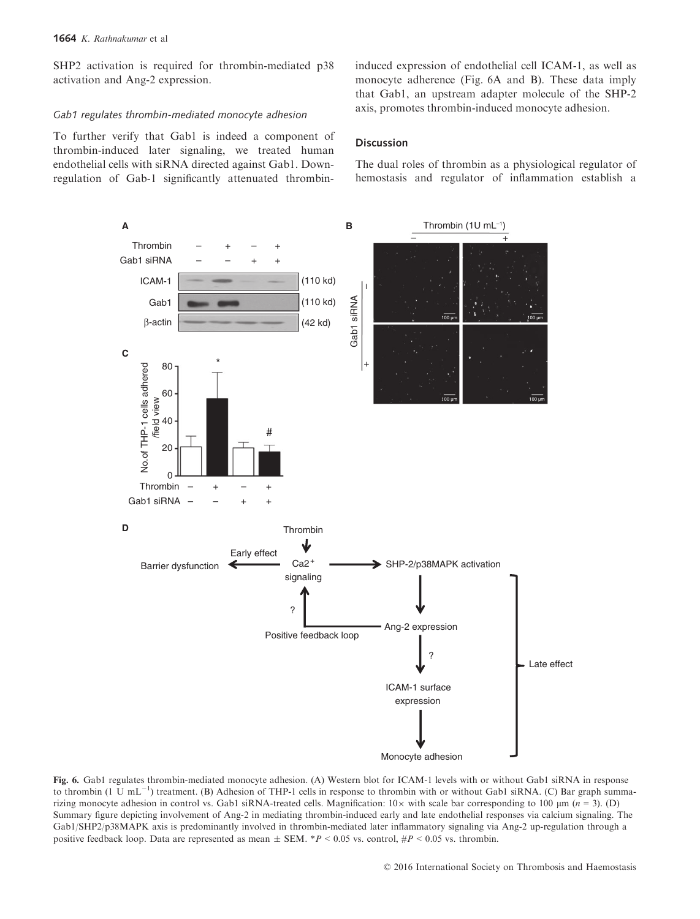SHP2 activation is required for thrombin-mediated p38 activation and Ang-2 expression.

#### Gab1 regulates thrombin-mediated monocyte adhesion

To further verify that Gab1 is indeed a component of thrombin-induced later signaling, we treated human endothelial cells with siRNA directed against Gab1. Downregulation of Gab-1 significantly attenuated thrombininduced expression of endothelial cell ICAM-1, as well as monocyte adherence (Fig. 6A and B). These data imply that Gab1, an upstream adapter molecule of the SHP-2 axis, promotes thrombin-induced monocyte adhesion.

## Discussion

The dual roles of thrombin as a physiological regulator of hemostasis and regulator of inflammation establish a



Fig. 6. Gab1 regulates thrombin-mediated monocyte adhesion. (A) Western blot for ICAM-1 levels with or without Gab1 siRNA in response to thrombin  $(1 \text{ U } mL^{-1})$  treatment. (B) Adhesion of THP-1 cells in response to thrombin with or without Gab1 siRNA. (C) Bar graph summarizing monocyte adhesion in control vs. Gab1 siRNA-treated cells. Magnification:  $10 \times$  with scale bar corresponding to 100  $\mu$ m (n = 3). (D) Summary figure depicting involvement of Ang-2 in mediating thrombin-induced early and late endothelial responses via calcium signaling. The Gab1/SHP2/p38MAPK axis is predominantly involved in thrombin-mediated later inflammatory signaling via Ang-2 up-regulation through a positive feedback loop. Data are represented as mean  $\pm$  SEM. \*P < 0.05 vs. control, #P < 0.05 vs. thrombin.

© 2016 International Society on Thrombosis and Haemostasis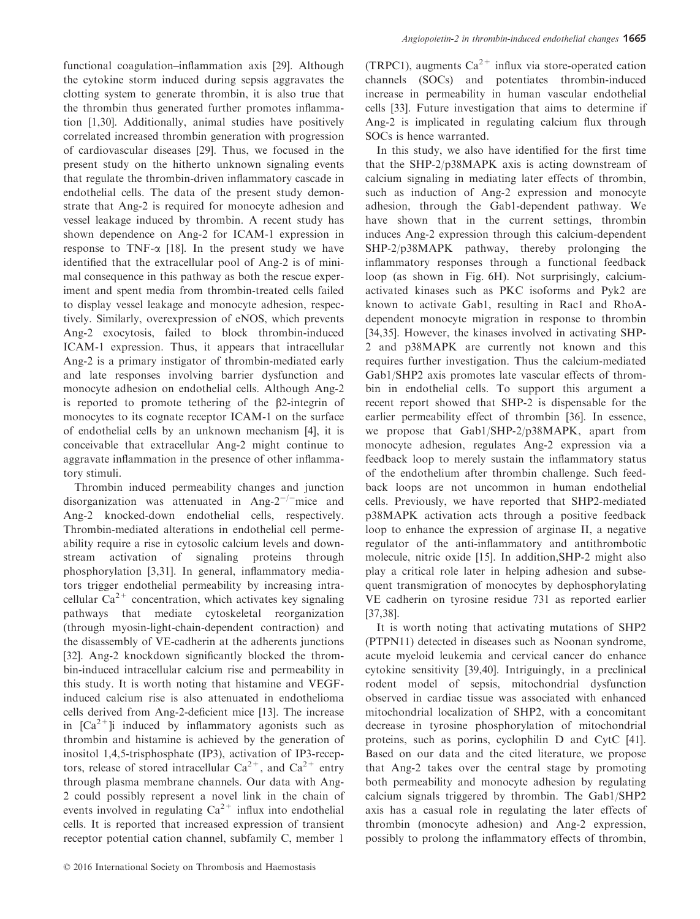functional coagulation–inflammation axis [29]. Although the cytokine storm induced during sepsis aggravates the clotting system to generate thrombin, it is also true that the thrombin thus generated further promotes inflammation [1,30]. Additionally, animal studies have positively correlated increased thrombin generation with progression of cardiovascular diseases [29]. Thus, we focused in the present study on the hitherto unknown signaling events that regulate the thrombin-driven inflammatory cascade in endothelial cells. The data of the present study demonstrate that Ang-2 is required for monocyte adhesion and vessel leakage induced by thrombin. A recent study has shown dependence on Ang-2 for ICAM-1 expression in response to TNF- $\alpha$  [18]. In the present study we have identified that the extracellular pool of Ang-2 is of minimal consequence in this pathway as both the rescue experiment and spent media from thrombin-treated cells failed to display vessel leakage and monocyte adhesion, respectively. Similarly, overexpression of eNOS, which prevents Ang-2 exocytosis, failed to block thrombin-induced ICAM-1 expression. Thus, it appears that intracellular Ang-2 is a primary instigator of thrombin-mediated early and late responses involving barrier dysfunction and monocyte adhesion on endothelial cells. Although Ang-2 is reported to promote tethering of the b2-integrin of monocytes to its cognate receptor ICAM-1 on the surface of endothelial cells by an unknown mechanism [4], it is conceivable that extracellular Ang-2 might continue to aggravate inflammation in the presence of other inflammatory stimuli.

Thrombin induced permeability changes and junction disorganization was attenuated in Ang- $2^{-/-}$ mice and Ang-2 knocked-down endothelial cells, respectively. Thrombin-mediated alterations in endothelial cell permeability require a rise in cytosolic calcium levels and downstream activation of signaling proteins through phosphorylation [3,31]. In general, inflammatory mediators trigger endothelial permeability by increasing intracellular  $Ca^{2+}$  concentration, which activates key signaling pathways that mediate cytoskeletal reorganization (through myosin-light-chain-dependent contraction) and the disassembly of VE-cadherin at the adherents junctions [32]. Ang-2 knockdown significantly blocked the thrombin-induced intracellular calcium rise and permeability in this study. It is worth noting that histamine and VEGFinduced calcium rise is also attenuated in endothelioma cells derived from Ang-2-deficient mice [13]. The increase in  $\text{ICa}^{2+}$ li induced by inflammatory agonists such as thrombin and histamine is achieved by the generation of inositol 1,4,5-trisphosphate (IP3), activation of IP3-receptors, release of stored intracellular  $Ca^{2+}$ , and  $Ca^{2+}$  entry through plasma membrane channels. Our data with Ang-2 could possibly represent a novel link in the chain of events involved in regulating  $Ca^{2+}$  influx into endothelial cells. It is reported that increased expression of transient receptor potential cation channel, subfamily C, member 1

(TRPC1), augments  $Ca^{2+}$  influx via store-operated cation channels (SOCs) and potentiates thrombin-induced increase in permeability in human vascular endothelial cells [33]. Future investigation that aims to determine if Ang-2 is implicated in regulating calcium flux through SOCs is hence warranted.

In this study, we also have identified for the first time that the SHP-2/p38MAPK axis is acting downstream of calcium signaling in mediating later effects of thrombin, such as induction of Ang-2 expression and monocyte adhesion, through the Gab1-dependent pathway. We have shown that in the current settings, thrombin induces Ang-2 expression through this calcium-dependent SHP-2/p38MAPK pathway, thereby prolonging the inflammatory responses through a functional feedback loop (as shown in Fig. 6H). Not surprisingly, calciumactivated kinases such as PKC isoforms and Pyk2 are known to activate Gab1, resulting in Rac1 and RhoAdependent monocyte migration in response to thrombin [34,35]. However, the kinases involved in activating SHP-2 and p38MAPK are currently not known and this requires further investigation. Thus the calcium-mediated Gab1/SHP2 axis promotes late vascular effects of thrombin in endothelial cells. To support this argument a recent report showed that SHP-2 is dispensable for the earlier permeability effect of thrombin [36]. In essence, we propose that Gab1/SHP-2/p38MAPK, apart from monocyte adhesion, regulates Ang-2 expression via a feedback loop to merely sustain the inflammatory status of the endothelium after thrombin challenge. Such feedback loops are not uncommon in human endothelial cells. Previously, we have reported that SHP2-mediated p38MAPK activation acts through a positive feedback loop to enhance the expression of arginase II, a negative regulator of the anti-inflammatory and antithrombotic molecule, nitric oxide [15]. In addition,SHP-2 might also play a critical role later in helping adhesion and subsequent transmigration of monocytes by dephosphorylating VE cadherin on tyrosine residue 731 as reported earlier [37,38].

It is worth noting that activating mutations of SHP2 (PTPN11) detected in diseases such as Noonan syndrome, acute myeloid leukemia and cervical cancer do enhance cytokine sensitivity [39,40]. Intriguingly, in a preclinical rodent model of sepsis, mitochondrial dysfunction observed in cardiac tissue was associated with enhanced mitochondrial localization of SHP2, with a concomitant decrease in tyrosine phosphorylation of mitochondrial proteins, such as porins, cyclophilin D and CytC [41]. Based on our data and the cited literature, we propose that Ang-2 takes over the central stage by promoting both permeability and monocyte adhesion by regulating calcium signals triggered by thrombin. The Gab1/SHP2 axis has a casual role in regulating the later effects of thrombin (monocyte adhesion) and Ang-2 expression, possibly to prolong the inflammatory effects of thrombin,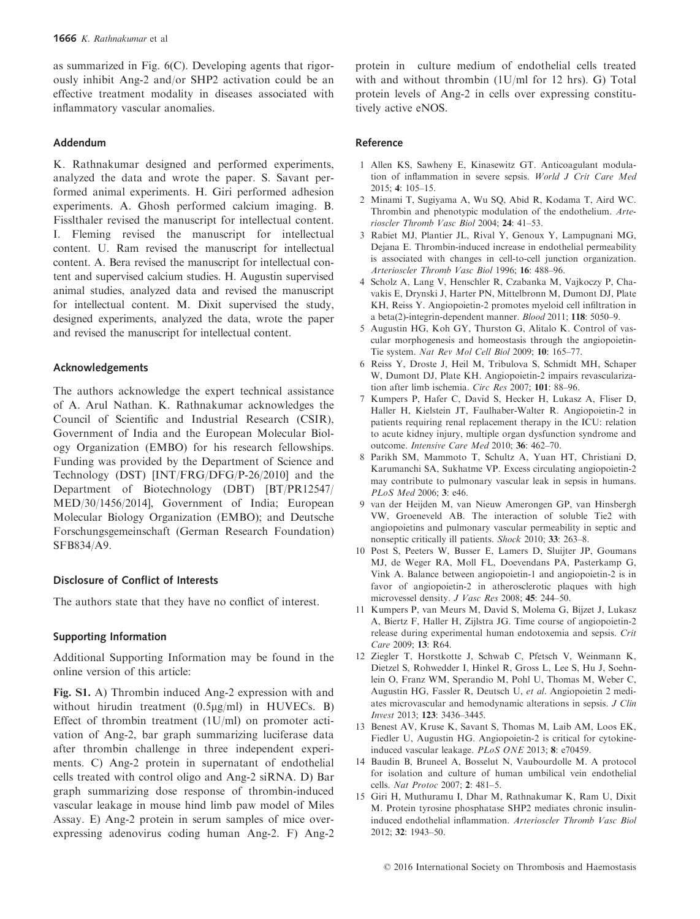as summarized in Fig. 6(C). Developing agents that rigorously inhibit Ang-2 and/or SHP2 activation could be an effective treatment modality in diseases associated with inflammatory vascular anomalies.

## Addendum

K. Rathnakumar designed and performed experiments, analyzed the data and wrote the paper. S. Savant performed animal experiments. H. Giri performed adhesion experiments. A. Ghosh performed calcium imaging. B. Fisslthaler revised the manuscript for intellectual content. I. Fleming revised the manuscript for intellectual content. U. Ram revised the manuscript for intellectual content. A. Bera revised the manuscript for intellectual content and supervised calcium studies. H. Augustin supervised animal studies, analyzed data and revised the manuscript for intellectual content. M. Dixit supervised the study, designed experiments, analyzed the data, wrote the paper and revised the manuscript for intellectual content.

### Acknowledgements

The authors acknowledge the expert technical assistance of A. Arul Nathan. K. Rathnakumar acknowledges the Council of Scientific and Industrial Research (CSIR), Government of India and the European Molecular Biology Organization (EMBO) for his research fellowships. Funding was provided by the Department of Science and Technology (DST) [INT/FRG/DFG/P-26/2010] and the Department of Biotechnology (DBT) [BT/PR12547/ MED/30/1456/2014], Government of India; European Molecular Biology Organization (EMBO); and Deutsche Forschungsgemeinschaft (German Research Foundation) SFB834/A9.

#### Disclosure of Conflict of Interests

The authors state that they have no conflict of interest.

## Supporting Information

Additional Supporting Information may be found in the online version of this article:

Fig. S1. A) Thrombin induced Ang-2 expression with and without hirudin treatment  $(0.5\mu g/ml)$  in HUVECs. B) Effect of thrombin treatment (1U/ml) on promoter activation of Ang-2, bar graph summarizing luciferase data after thrombin challenge in three independent experiments. C) Ang-2 protein in supernatant of endothelial cells treated with control oligo and Ang-2 siRNA. D) Bar graph summarizing dose response of thrombin-induced vascular leakage in mouse hind limb paw model of Miles Assay. E) Ang-2 protein in serum samples of mice overexpressing adenovirus coding human Ang-2. F) Ang-2 protein in culture medium of endothelial cells treated with and without thrombin (1U/ml for 12 hrs). G) Total protein levels of Ang-2 in cells over expressing constitutively active eNOS.

#### Reference

- 1 Allen KS, Sawheny E, Kinasewitz GT. Anticoagulant modulation of inflammation in severe sepsis. World J Crit Care Med 2015; 4: 105–15.
- 2 Minami T, Sugiyama A, Wu SQ, Abid R, Kodama T, Aird WC. Thrombin and phenotypic modulation of the endothelium. Arterioscler Thromb Vasc Biol 2004; 24: 41–53.
- 3 Rabiet MJ, Plantier JL, Rival Y, Genoux Y, Lampugnani MG, Dejana E. Thrombin-induced increase in endothelial permeability is associated with changes in cell-to-cell junction organization. Arterioscler Thromb Vasc Biol 1996; 16: 488–96.
- 4 Scholz A, Lang V, Henschler R, Czabanka M, Vajkoczy P, Chavakis E, Drynski J, Harter PN, Mittelbronn M, Dumont DJ, Plate KH, Reiss Y. Angiopoietin-2 promotes myeloid cell infiltration in a beta(2)-integrin-dependent manner. Blood 2011; 118: 5050–9.
- 5 Augustin HG, Koh GY, Thurston G, Alitalo K. Control of vascular morphogenesis and homeostasis through the angiopoietin-Tie system. Nat Rev Mol Cell Biol 2009; 10: 165–77.
- 6 Reiss Y, Droste J, Heil M, Tribulova S, Schmidt MH, Schaper W, Dumont DJ, Plate KH. Angiopoietin-2 impairs revascularization after limb ischemia. Circ Res 2007; 101: 88–96.
- 7 Kumpers P, Hafer C, David S, Hecker H, Lukasz A, Fliser D, Haller H, Kielstein JT, Faulhaber-Walter R. Angiopoietin-2 in patients requiring renal replacement therapy in the ICU: relation to acute kidney injury, multiple organ dysfunction syndrome and outcome. Intensive Care Med 2010; 36: 462–70.
- 8 Parikh SM, Mammoto T, Schultz A, Yuan HT, Christiani D, Karumanchi SA, Sukhatme VP. Excess circulating angiopoietin-2 may contribute to pulmonary vascular leak in sepsis in humans. PLoS Med 2006; 3: e46.
- 9 van der Heijden M, van Nieuw Amerongen GP, van Hinsbergh VW, Groeneveld AB. The interaction of soluble Tie2 with angiopoietins and pulmonary vascular permeability in septic and nonseptic critically ill patients. Shock 2010; 33: 263–8.
- 10 Post S, Peeters W, Busser E, Lamers D, Sluijter JP, Goumans MJ, de Weger RA, Moll FL, Doevendans PA, Pasterkamp G, Vink A. Balance between angiopoietin-1 and angiopoietin-2 is in favor of angiopoietin-2 in atherosclerotic plaques with high microvessel density. J Vasc Res 2008; 45: 244–50.
- 11 Kumpers P, van Meurs M, David S, Molema G, Bijzet J, Lukasz A, Biertz F, Haller H, Zijlstra JG. Time course of angiopoietin-2 release during experimental human endotoxemia and sepsis. Crit Care 2009; 13: R64.
- 12 Ziegler T, Horstkotte J, Schwab C, Pfetsch V, Weinmann K, Dietzel S, Rohwedder I, Hinkel R, Gross L, Lee S, Hu J, Soehnlein O, Franz WM, Sperandio M, Pohl U, Thomas M, Weber C, Augustin HG, Fassler R, Deutsch U, et al. Angiopoietin 2 mediates microvascular and hemodynamic alterations in sepsis. J Clin Invest 2013; 123: 3436–3445.
- 13 Benest AV, Kruse K, Savant S, Thomas M, Laib AM, Loos EK, Fiedler U, Augustin HG. Angiopoietin-2 is critical for cytokineinduced vascular leakage. PLoS ONE 2013; 8: e70459.
- 14 Baudin B, Bruneel A, Bosselut N, Vaubourdolle M. A protocol for isolation and culture of human umbilical vein endothelial cells. Nat Protoc 2007; 2: 481–5.
- 15 Giri H, Muthuramu I, Dhar M, Rathnakumar K, Ram U, Dixit M. Protein tyrosine phosphatase SHP2 mediates chronic insulininduced endothelial inflammation. Arterioscler Thromb Vasc Biol 2012; 32: 1943–50.